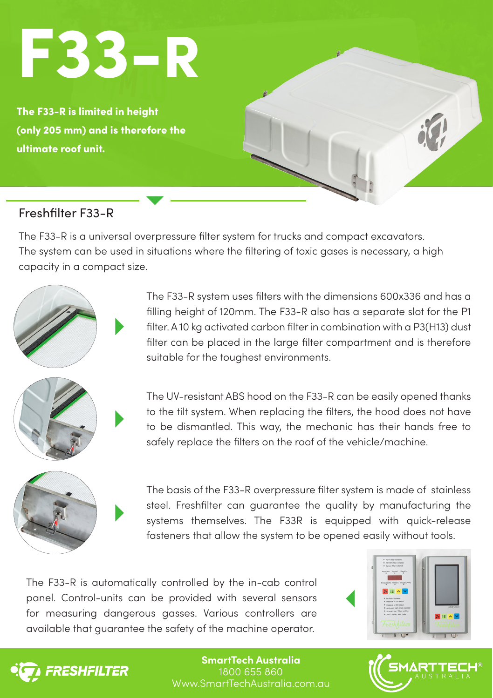# F33-R

The F33-R is limited in height (only 205 mm) and is therefore the ultimate roof unit.

## Freshfilter F33-R

The F33-R is a universal overpressure filter system for trucks and compact excavators. The system can be used in situations where the filtering of toxic gases is necessary, a high capacity in a compact size.



The F33-R system uses filters with the dimensions 600x336 and has a filling height of 120mm. The F33-R also has a separate slot for the P1 filter. A 10 kg activated carbon filter in combination with a P3(H13) dust filter can be placed in the large filter compartment and is therefore suitable for the toughest environments.

The UV-resistant ABS hood on the F33-R can be easily opened thanks to the tilt system. When replacing the filters, the hood does not have to be dismantled. This way, the mechanic has their hands free to safely replace the filters on the roof of the vehicle/machine.



The basis of the F33-R overpressure filter system is made of stainless steel. Freshfilter can guarantee the quality by manufacturing the systems themselves. The F33R is equipped with quick-release fasteners that allow the system to be opened easily without tools.

The F33-R is automatically controlled by the in-cab control panel. Control-units can be provided with several sensors for measuring dangerous gasses. Various controllers are available that guarantee the safety of the machine operator.





**SmartTech Australia** 1800 655 860 Www.SmartTechAustralia.com.au